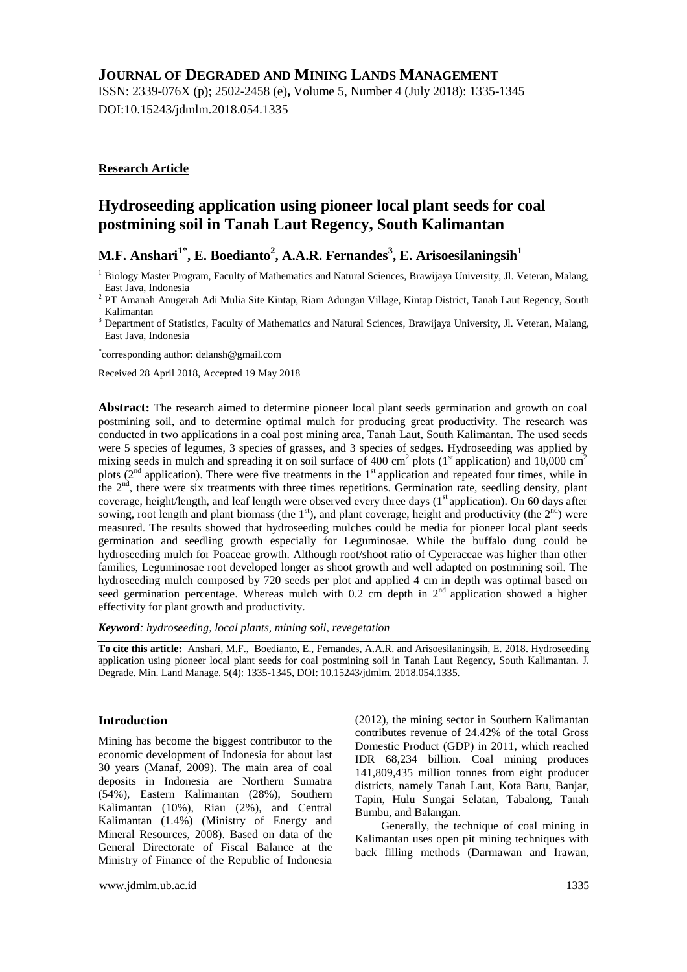## **JOURNAL OF DEGRADED AND MINING LANDS MANAGEMENT**

ISSN: 2339-076X (p); 2502-2458 (e)**,** Volume 5, Number 4 (July 2018): 1335-1345 DOI:10.15243/jdmlm.2018.054.1335

## **Research Article**

# **Hydroseeding application using pioneer local plant seeds for coal postmining soil in Tanah Laut Regency, South Kalimantan**

# **M.F. Anshari1\* , E. Boedianto<sup>2</sup> , A.A.R. Fernandes<sup>3</sup> , E. Arisoesilaningsih<sup>1</sup>**

\* corresponding author: delansh@gmail.com

Received 28 April 2018, Accepted 19 May 2018

**Abstract:** The research aimed to determine pioneer local plant seeds germination and growth on coal postmining soil, and to determine optimal mulch for producing great productivity. The research was conducted in two applications in a coal post mining area, Tanah Laut, South Kalimantan. The used seeds were 5 species of legumes, 3 species of grasses*,* and 3 species of sedges. Hydroseeding was applied by mixing seeds in mulch and spreading it on soil surface of 400 cm<sup>2</sup> plots ( $1<sup>st</sup>$  application) and 10,000 cm<sup>2</sup> plots (2<sup>nd</sup> application). There were five treatments in the 1<sup>st</sup> application and repeated four times, while in the  $2<sup>nd</sup>$ , there were six treatments with three times repetitions. Germination rate, seedling density, plant coverage, height/length, and leaf length were observed every three days (1<sup>st</sup> application). On 60 days after sowing, root length and plant biomass (the  $1<sup>st</sup>$ ), and plant coverage, height and productivity (the  $2<sup>nd</sup>$ ) were measured. The results showed that hydroseeding mulches could be media for pioneer local plant seeds germination and seedling growth especially for Leguminosae. While the buffalo dung could be hydroseeding mulch for Poaceae growth. Although root/shoot ratio of Cyperaceae was higher than other families, Leguminosae root developed longer as shoot growth and well adapted on postmining soil. The hydroseeding mulch composed by 720 seeds per plot and applied 4 cm in depth was optimal based on seed germination percentage. Whereas mulch with 0.2 cm depth in  $2<sup>nd</sup>$  application showed a higher effectivity for plant growth and productivity.

*Keyword: hydroseeding, local plants, mining soil, revegetation*

**To cite this article:** Anshari, M.F., Boedianto, E., Fernandes, A.A.R. and Arisoesilaningsih, E. 2018. Hydroseeding application using pioneer local plant seeds for coal postmining soil in Tanah Laut Regency, South Kalimantan. J. Degrade. Min. Land Manage. 5(4): 1335-1345, DOI: 10.15243/jdmlm. 2018.054.1335.

## **Introduction**

Mining has become the biggest contributor to the economic development of Indonesia for about last 30 years (Manaf, 2009). The main area of coal deposits in Indonesia are Northern Sumatra (54%), Eastern Kalimantan (28%), Southern Kalimantan (10%), Riau (2%), and Central Kalimantan (1.4%) (Ministry of Energy and Mineral Resources, 2008). Based on data of the General Directorate of Fiscal Balance at the Ministry of Finance of the Republic of Indonesia

(2012), the mining sector in Southern Kalimantan contributes revenue of 24.42% of the total Gross Domestic Product (GDP) in 2011, which reached IDR 68,234 billion. Coal mining produces 141,809,435 million tonnes from eight producer districts, namely Tanah Laut, Kota Baru, Banjar, Tapin, Hulu Sungai Selatan, Tabalong, Tanah Bumbu, and Balangan.

Generally, the technique of coal mining in Kalimantan uses open pit mining techniques with back filling methods (Darmawan and Irawan,

<sup>&</sup>lt;sup>1</sup> Biology Master Program, Faculty of Mathematics and Natural Sciences, Brawijaya University, Jl. Veteran, Malang, East Java, Indonesia

<sup>&</sup>lt;sup>2</sup> PT Amanah Anugerah Adi Mulia Site Kintap, Riam Adungan Village, Kintap District, Tanah Laut Regency, South Kalimantan

<sup>&</sup>lt;sup>3</sup> Department of Statistics, Faculty of Mathematics and Natural Sciences, Brawijaya University, Jl. Veteran, Malang, East Java, Indonesia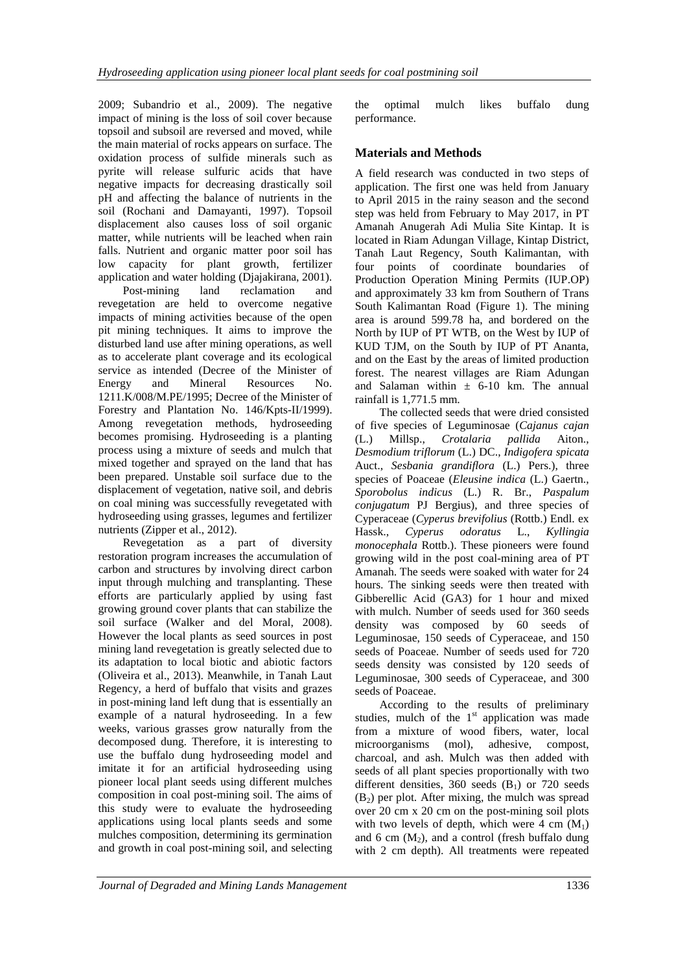2009; Subandrio et al., 2009). The negative impact of mining is the loss of soil cover because topsoil and subsoil are reversed and moved, while the main material of rocks appears on surface. The oxidation process of sulfide minerals such as pyrite will release sulfuric acids that have negative impacts for decreasing drastically soil pH and affecting the balance of nutrients in the soil (Rochani and Damayanti, 1997). Topsoil displacement also causes loss of soil organic matter, while nutrients will be leached when rain falls. Nutrient and organic matter poor soil has low capacity for plant growth, fertilizer application and water holding (Djajakirana, 2001).

Post-mining land reclamation and revegetation are held to overcome negative impacts of mining activities because of the open pit mining techniques. It aims to improve the disturbed land use after mining operations, as well as to accelerate plant coverage and its ecological service as intended (Decree of the Minister of Energy and Mineral Resources No. 1211.K/008/M.PE/1995; Decree of the Minister of Forestry and Plantation No. 146/Kpts-II/1999). Among revegetation methods, hydroseeding becomes promising. Hydroseeding is a planting process using a mixture of seeds and mulch that mixed together and sprayed on the land that has been prepared. Unstable soil surface due to the displacement of vegetation, native soil, and debris on coal mining was successfully revegetated with hydroseeding using grasses, legumes and fertilizer nutrients (Zipper et al., 2012).

Revegetation as a part of diversity restoration program increases the accumulation of carbon and structures by involving direct carbon input through mulching and transplanting. These efforts are particularly applied by using fast growing ground cover plants that can stabilize the soil surface (Walker and del Moral, 2008). However the local plants as seed sources in post mining land revegetation is greatly selected due to its adaptation to local biotic and abiotic factors (Oliveira et al., 2013). Meanwhile, in Tanah Laut Regency, a herd of buffalo that visits and grazes in post-mining land left dung that is essentially an example of a natural hydroseeding. In a few weeks, various grasses grow naturally from the decomposed dung. Therefore, it is interesting to use the buffalo dung hydroseeding model and imitate it for an artificial hydroseeding using pioneer local plant seeds using different mulches composition in coal post-mining soil. The aims of this study were to evaluate the hydroseeding applications using local plants seeds and some mulches composition, determining its germination and growth in coal post-mining soil, and selecting

the optimal mulch likes buffalo dung performance.

## **Materials and Methods**

A field research was conducted in two steps of application. The first one was held from January to April 2015 in the rainy season and the second step was held from February to May 2017, in PT Amanah Anugerah Adi Mulia Site Kintap. It is located in Riam Adungan Village, Kintap District, Tanah Laut Regency, South Kalimantan, with four points of coordinate boundaries of Production Operation Mining Permits (IUP.OP) and approximately 33 km from Southern of Trans South Kalimantan Road (Figure 1). The mining area is around 599.78 ha, and bordered on the North by IUP of PT WTB, on the West by IUP of KUD TJM, on the South by IUP of PT Ananta, and on the East by the areas of limited production forest. The nearest villages are Riam Adungan and Salaman within  $\pm$  6-10 km. The annual rainfall is 1,771.5 mm.

The collected seeds that were dried consisted of five species of Leguminosae (*Cajanus cajan* (L.) Millsp., *Crotalaria pallida* Aiton., *Desmodium triflorum* (L.) DC., *Indigofera spicata* Auct., *Sesbania grandiflora* (L.) Pers.), three species of Poaceae (*Eleusine indica* (L.) Gaertn., *Sporobolus indicus* (L.) R. Br., *Paspalum conjugatum* PJ Bergius), and three species of Cyperaceae (*Cyperus brevifolius* (Rottb.) Endl. ex Hassk., *Cyperus odoratus* L., *Kyllingia monocephala* Rottb.). These pioneers were found growing wild in the post coal-mining area of PT Amanah. The seeds were soaked with water for 24 hours. The sinking seeds were then treated with Gibberellic Acid (GA3) for 1 hour and mixed with mulch. Number of seeds used for 360 seeds density was composed by 60 seeds of Leguminosae, 150 seeds of Cyperaceae, and 150 seeds of Poaceae. Number of seeds used for 720 seeds density was consisted by 120 seeds of Leguminosae, 300 seeds of Cyperaceae, and 300 seeds of Poaceae.

According to the results of preliminary studies, mulch of the  $1<sup>st</sup>$  application was made from a mixture of wood fibers, water, local microorganisms (mol), adhesive, compost, charcoal, and ash. Mulch was then added with seeds of all plant species proportionally with two different densities,  $360$  seeds  $(B_1)$  or  $720$  seeds  $(B<sub>2</sub>)$  per plot. After mixing, the mulch was spread over 20 cm x 20 cm on the post-mining soil plots with two levels of depth, which were  $4 \text{ cm } (M_1)$ and 6 cm  $(M_2)$ , and a control (fresh buffalo dung with 2 cm depth). All treatments were repeated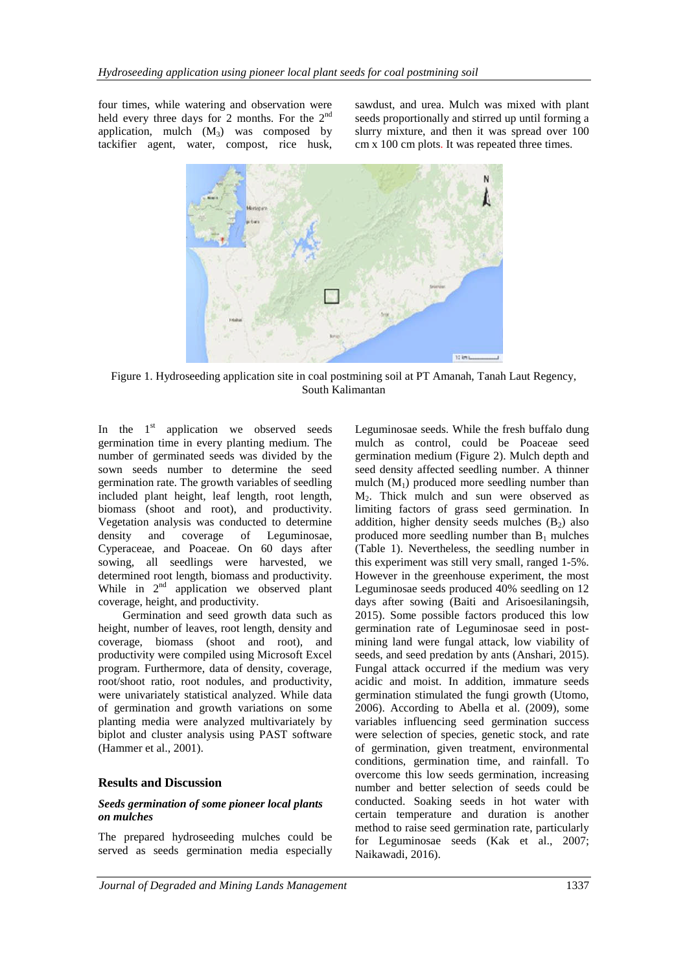four times, while watering and observation were held every three days for 2 months. For the  $2<sup>nd</sup>$ application, mulch  $(M_3)$  was composed by tackifier agent, water, compost, rice husk, sawdust, and urea. Mulch was mixed with plant seeds proportionally and stirred up until forming a slurry mixture, and then it was spread over 100 cm x 100 cm plots. It was repeated three times.



Figure 1. Hydroseeding application site in coal postmining soil at PT Amanah, Tanah Laut Regency, South Kalimantan

In the  $1<sup>st</sup>$  application we observed seeds germination time in every planting medium. The number of germinated seeds was divided by the sown seeds number to determine the seed germination rate. The growth variables of seedling included plant height, leaf length, root length, biomass (shoot and root), and productivity. Vegetation analysis was conducted to determine density and coverage of Leguminosae, Cyperaceae, and Poaceae. On 60 days after sowing, all seedlings were harvested, we determined root length, biomass and productivity. While in  $2<sup>nd</sup>$  application we observed plant coverage, height, and productivity.

Germination and seed growth data such as height, number of leaves, root length, density and coverage, biomass (shoot and root), and productivity were compiled using Microsoft Excel program. Furthermore, data of density, coverage, root/shoot ratio, root nodules, and productivity, were univariately statistical analyzed. While data of germination and growth variations on some planting media were analyzed multivariately by biplot and cluster analysis using PAST software (Hammer et al., 2001).

### **Results and Discussion**

### *Seeds germination of some pioneer local plants on mulches*

The prepared hydroseeding mulches could be served as seeds germination media especially Leguminosae seeds. While the fresh buffalo dung mulch as control, could be Poaceae seed germination medium (Figure 2). Mulch depth and seed density affected seedling number. A thinner mulch  $(M_1)$  produced more seedling number than M2. Thick mulch and sun were observed as limiting factors of grass seed germination. In addition, higher density seeds mulches  $(B_2)$  also produced more seedling number than  $B_1$  mulches (Table 1). Nevertheless, the seedling number in this experiment was still very small, ranged 1-5%. However in the greenhouse experiment, the most Leguminosae seeds produced 40% seedling on 12 days after sowing (Baiti and Arisoesilaningsih, 2015). Some possible factors produced this low germination rate of Leguminosae seed in postmining land were fungal attack, low viability of seeds, and seed predation by ants (Anshari, 2015). Fungal attack occurred if the medium was very acidic and moist. In addition, immature seeds germination stimulated the fungi growth (Utomo, 2006). According to Abella et al. (2009), some variables influencing seed germination success were selection of species, genetic stock, and rate of germination, given treatment, environmental conditions, germination time, and rainfall. To overcome this low seeds germination, increasing number and better selection of seeds could be conducted. Soaking seeds in hot water with certain temperature and duration is another method to raise seed germination rate, particularly for Leguminosae seeds (Kak et al., 2007; Naikawadi, 2016).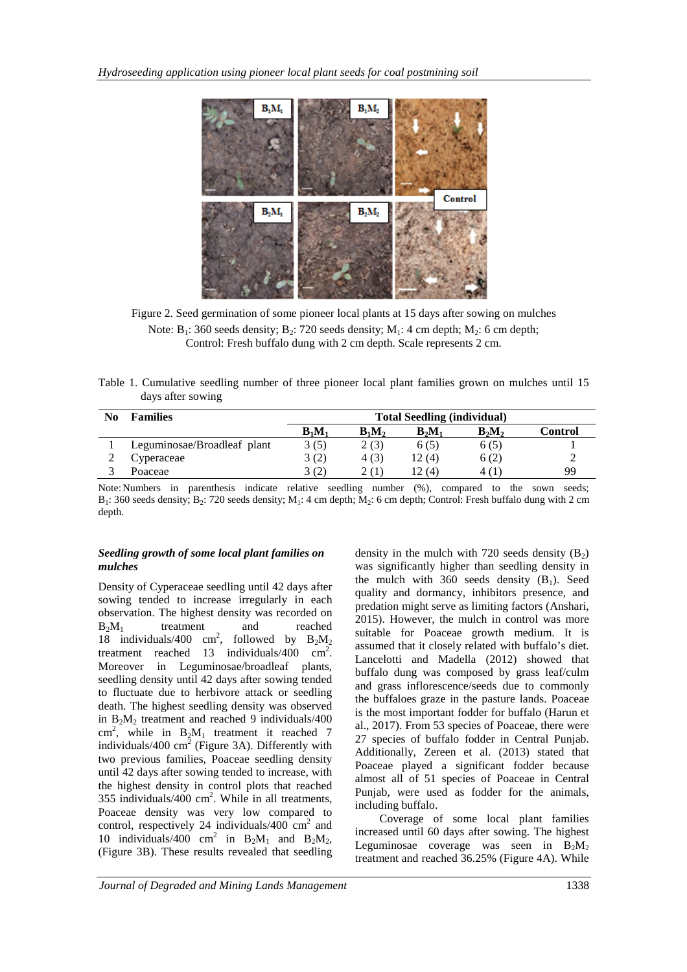

Figure 2. Seed germination of some pioneer local plants at 15 days after sowing on mulches Note:  $B_1$ : 360 seeds density;  $B_2$ : 720 seeds density;  $M_1$ : 4 cm depth;  $M_2$ : 6 cm depth; Control: Fresh buffalo dung with 2 cm depth. Scale represents 2 cm.

| Table 1. Cumulative seedling number of three pioneer local plant families grown on mulches until 15 |  |  |  |  |  |  |
|-----------------------------------------------------------------------------------------------------|--|--|--|--|--|--|
| days after sowing                                                                                   |  |  |  |  |  |  |

| No | <b>Families</b>             | <b>Total Seedling (individual)</b> |          |          |          |         |  |  |  |
|----|-----------------------------|------------------------------------|----------|----------|----------|---------|--|--|--|
|    |                             | $B_1M_1$                           | $B_1M_2$ | $B_2M_1$ | $B_2M_2$ | Control |  |  |  |
|    | Leguminosae/Broadleaf plant | 3(5)                               | 2(3)     | 6(5)     | 6(5)     |         |  |  |  |
|    | Cyperaceae                  | 3(2)                               | 4(3)     | 12 (4)   | 6(2)     |         |  |  |  |
|    | Poaceae                     | 3(2)                               | 2 (1)    | l 2 (4)  | 4 (1)    | 99      |  |  |  |

Note:Numbers in parenthesis indicate relative seedling number (%), compared to the sown seeds;  $B_1$ : 360 seeds density;  $B_2$ : 720 seeds density;  $M_1$ : 4 cm depth;  $M_2$ : 6 cm depth; Control: Fresh buffalo dung with 2 cm depth.

### *Seedling growth of some local plant families on mulches*

Density of Cyperaceae seedling until 42 days after sowing tended to increase irregularly in each observation. The highest density was recorded on  $B_2M_1$  treatment and reached 18 individuals/400 cm<sup>2</sup>, followed by  $B_2M_2$ treatment reached 13 individuals/400  $\text{cm}^2$ . Moreover in Leguminosae/broadleaf plants, seedling density until 42 days after sowing tended to fluctuate due to herbivore attack or seedling death. The highest seedling density was observed in  $B_2M_2$  treatment and reached 9 individuals/400 cm<sup>2</sup>, while in  $B_2M_1$  treatment it reached 7 individuals/400  $\text{cm}^2$  (Figure 3A). Differently with two previous families, Poaceae seedling density until 42 days after sowing tended to increase, with the highest density in control plots that reached 355 individuals/400  $\text{cm}^2$ . While in all treatments, Poaceae density was very low compared to control, respectively 24 individuals/400  $\text{cm}^2$  and 10 individuals/400 cm<sup>2</sup> in  $B_2M_1$  and  $B_2M_2$ , (Figure 3B). These results revealed that seedling

density in the mulch with 720 seeds density  $(B_2)$ was significantly higher than seedling density in the mulch with  $360$  seeds density  $(B_1)$ . Seed quality and dormancy, inhibitors presence, and predation might serve as limiting factors (Anshari, 2015). However, the mulch in control was more suitable for Poaceae growth medium. It is assumed that it closely related with buffalo's diet. Lancelotti and Madella (2012) showed that buffalo dung was composed by grass leaf/culm and grass inflorescence/seeds due to commonly the buffaloes graze in the pasture lands. Poaceae is the most important fodder for buffalo (Harun et al., 2017). From 53 species of Poaceae, there were 27 species of buffalo fodder in Central Punjab. Additionally, Zereen et al. (2013) stated that Poaceae played a significant fodder because almost all of 51 species of Poaceae in Central Punjab, were used as fodder for the animals, including buffalo.

Coverage of some local plant families increased until 60 days after sowing. The highest Leguminosae coverage was seen in  $B_2M_2$ treatment and reached 36.25% (Figure 4A). While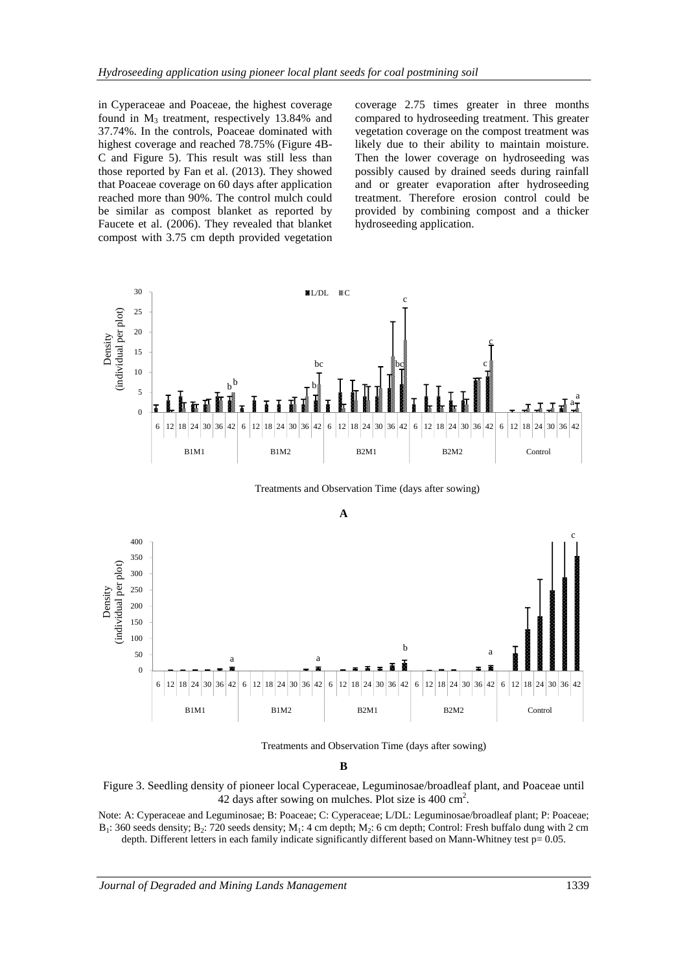in Cyperaceae and Poaceae, the highest coverage found in  $M_3$  treatment, respectively 13.84% and 37.74%. In the controls, Poaceae dominated with highest coverage and reached 78.75% (Figure 4B-C and Figure 5). This result was still less than those reported by Fan et al. (2013). They showed that Poaceae coverage on 60 days after application reached more than 90%. The control mulch could be similar as compost blanket as reported by Faucete et al. (2006). They revealed that blanket compost with 3.75 cm depth provided vegetation

coverage 2.75 times greater in three months compared to hydroseeding treatment. This greater vegetation coverage on the compost treatment was likely due to their ability to maintain moisture. Then the lower coverage on hydroseeding was possibly caused by drained seeds during rainfall and or greater evaporation after hydroseeding treatment. Therefore erosion control could be provided by combining compost and a thicker hydroseeding application.



Treatments and Observation Time (days after sowing)



Treatments and Observation Time (days after sowing)

**B**



Note: A: Cyperaceae and Leguminosae; B: Poaceae; C: Cyperaceae; L/DL: Leguminosae/broadleaf plant; P: Poaceae;  $B_1$ : 360 seeds density;  $B_2$ : 720 seeds density;  $M_1$ : 4 cm depth;  $M_2$ : 6 cm depth; Control: Fresh buffalo dung with 2 cm depth. Different letters in each family indicate significantly different based on Mann-Whitney test p= 0.05.

*Journal of Degraded and Mining Lands Management* 1339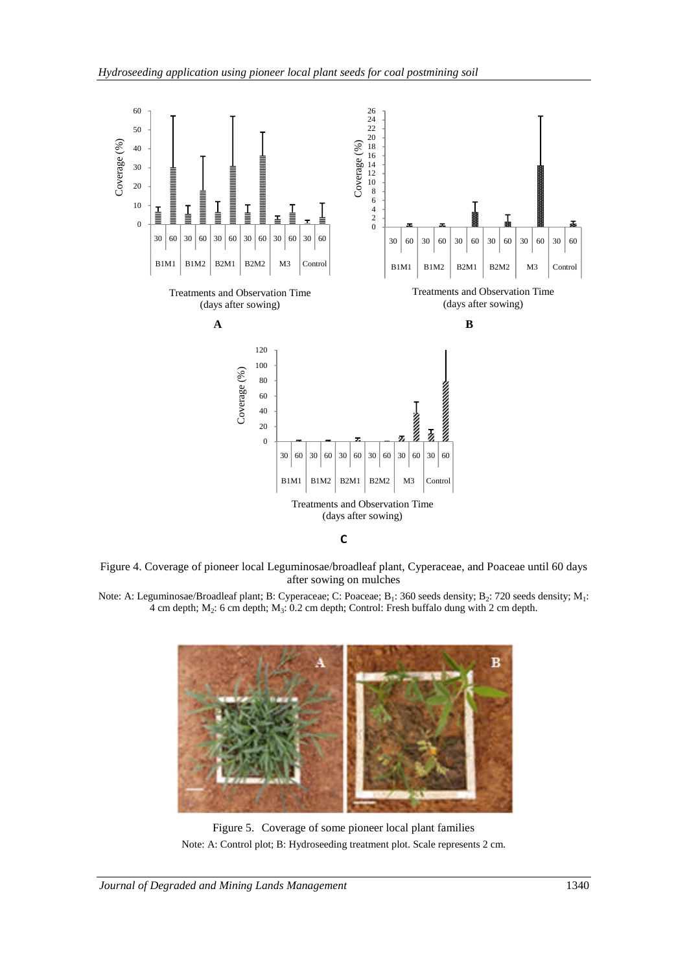

Figure 4. Coverage of pioneer local Leguminosae/broadleaf plant, Cyperaceae, and Poaceae until 60 days after sowing on mulches

Note: A: Leguminosae/Broadleaf plant; B: Cyperaceae; C: Poaceae; B<sub>1</sub>: 360 seeds density; B<sub>2</sub>: 720 seeds density; M<sub>1</sub>: 4 cm depth;  $M_2$ : 6 cm depth;  $M_3$ : 0.2 cm depth; Control: Fresh buffalo dung with 2 cm depth.



Figure 5. Coverage of some pioneer local plant families Note: A: Control plot; B: Hydroseeding treatment plot. Scale represents 2 cm.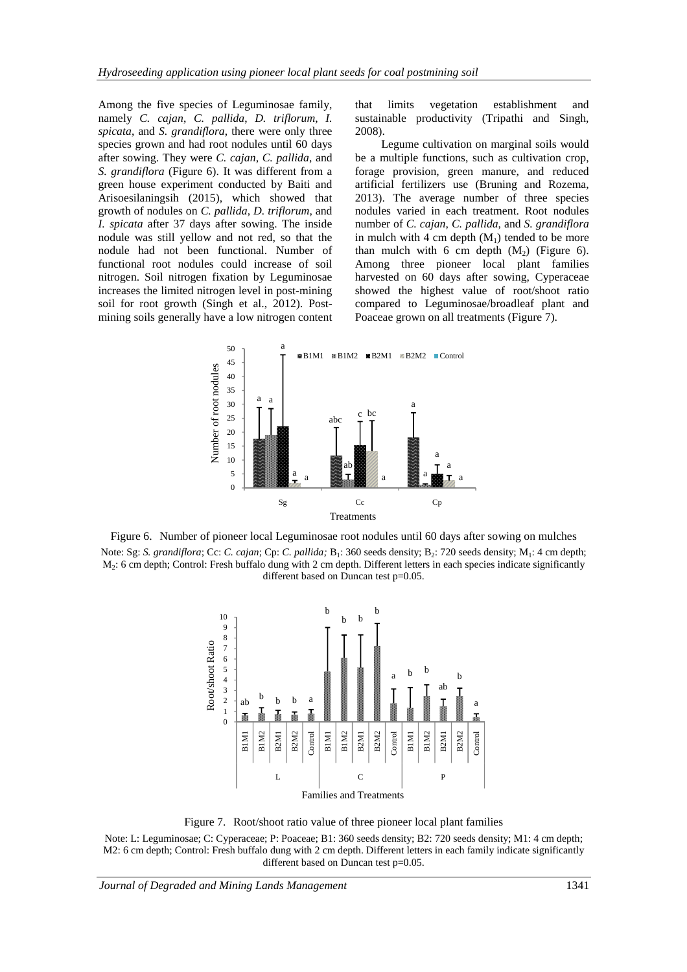Among the five species of Leguminosae family, namely *C. cajan*, *C. pallida*, *D. triflorum*, *I. spicata*, and *S. grandiflora*, there were only three species grown and had root nodules until 60 days after sowing. They were *C. cajan*, *C. pallida*, and *S. grandiflora* (Figure 6). It was different from a green house experiment conducted by Baiti and Arisoesilaningsih (2015), which showed that growth of nodules on *C. pallida*, *D. triflorum*, and *I. spicata* after 37 days after sowing. The inside nodule was still yellow and not red, so that the nodule had not been functional. Number of functional root nodules could increase of soil nitrogen. Soil nitrogen fixation by Leguminosae increases the limited nitrogen level in post-mining soil for root growth (Singh et al., 2012). Postmining soils generally have a low nitrogen content

that limits vegetation establishment and sustainable productivity (Tripathi and Singh, 2008).

Legume cultivation on marginal soils would be a multiple functions, such as cultivation crop, forage provision, green manure, and reduced artificial fertilizers use (Bruning and Rozema, 2013). The average number of three species nodules varied in each treatment. Root nodules number of *C. cajan*, *C. pallida*, and *S. grandiflora* in mulch with 4 cm depth  $(M_1)$  tended to be more than mulch with 6 cm depth  $(M_2)$  (Figure 6). Among three pioneer local plant families harvested on 60 days after sowing, Cyperaceae showed the highest value of root/shoot ratio compared to Leguminosae/broadleaf plant and Poaceae grown on all treatments (Figure 7).



Figure 6. Number of pioneer local Leguminosae root nodules until 60 days after sowing on mulches Note: Sg: *S. grandiflora*; Cc: *C. cajan*; Cp: *C. pallida*; B<sub>1</sub>: 360 seeds density; B<sub>2</sub>: 720 seeds density; M<sub>1</sub>: 4 cm depth;  $M_2$ : 6 cm depth; Control: Fresh buffalo dung with 2 cm depth. Different letters in each species indicate significantly different based on Duncan test p=0.05.



Figure 7. Root/shoot ratio value of three pioneer local plant families

Note: L: Leguminosae; C: Cyperaceae; P: Poaceae; B1: 360 seeds density; B2: 720 seeds density; M1: 4 cm depth; M2: 6 cm depth; Control: Fresh buffalo dung with 2 cm depth. Different letters in each family indicate significantly different based on Duncan test p=0.05.

*Journal of Degraded and Mining Lands Management* 1341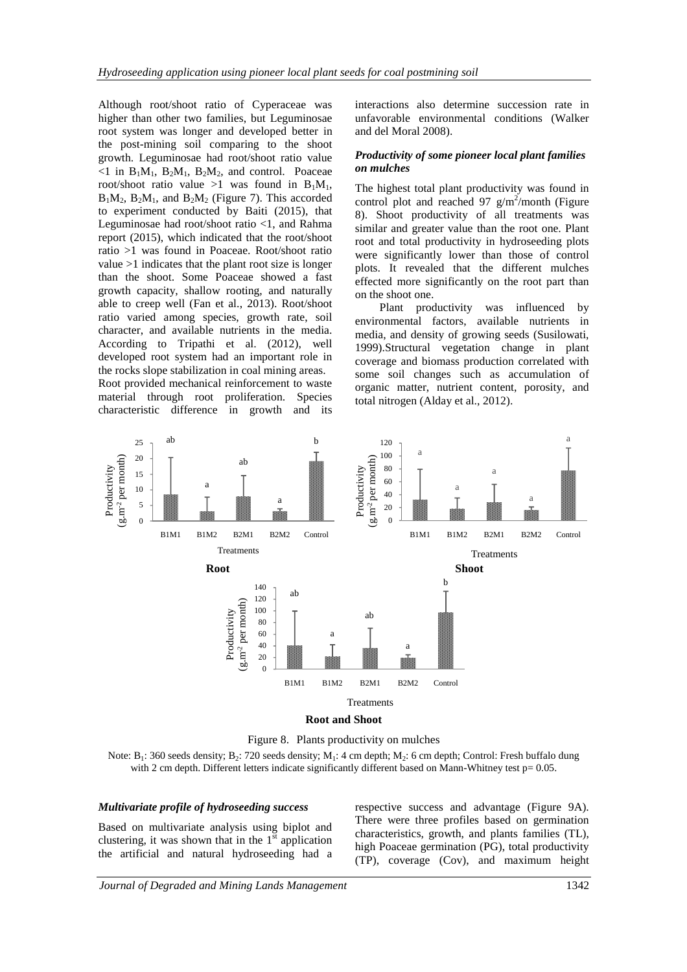Although root/shoot ratio of Cyperaceae was higher than other two families, but Leguminosae root system was longer and developed better in the post-mining soil comparing to the shoot growth. Leguminosae had root/shoot ratio value  $\leq 1$  in  $B_1M_1$ ,  $B_2M_1$ ,  $B_2M_2$ , and control. Poaceae root/shoot ratio value >1 was found in  $B_1M_1$ ,  $B_1M_2$ ,  $B_2M_1$ , and  $B_2M_2$  (Figure 7). This accorded to experiment conducted by Baiti (2015), that Leguminosae had root/shoot ratio <1, and Rahma report (2015), which indicated that the root/shoot ratio >1 was found in Poaceae. Root/shoot ratio value >1 indicates that the plant root size is longer than the shoot. Some Poaceae showed a fast growth capacity, shallow rooting, and naturally able to creep well (Fan et al., 2013). Root/shoot ratio varied among species, growth rate, soil character, and available nutrients in the media. According to Tripathi et al. (2012), well developed root system had an important role in the rocks slope stabilization in coal mining areas.

Root provided mechanical reinforcement to waste material through root proliferation. Species characteristic difference in growth and its

interactions also determine succession rate in unfavorable environmental conditions (Walker and del Moral 2008).

#### *Productivity of some pioneer local plant families on mulches*

The highest total plant productivity was found in control plot and reached 97  $g/m^2$ /month (Figure 8). Shoot productivity of all treatments was similar and greater value than the root one. Plant root and total productivity in hydroseeding plots were significantly lower than those of control plots. It revealed that the different mulches effected more significantly on the root part than on the shoot one.

Plant productivity was influenced by environmental factors, available nutrients in media, and density of growing seeds (Susilowati, 1999).Structural vegetation change in plant coverage and biomass production correlated with some soil changes such as accumulation of organic matter, nutrient content, porosity, and total nitrogen (Alday et al., 2012).





Note:  $B_1$ : 360 seeds density;  $B_2$ : 720 seeds density;  $M_1$ : 4 cm depth;  $M_2$ : 6 cm depth; Control: Fresh buffalo dung with 2 cm depth. Different letters indicate significantly different based on Mann-Whitney test p= 0.05.

#### *Multivariate profile of hydroseeding success*

Based on multivariate analysis using biplot and clustering, it was shown that in the  $1^{\overline{st}}$  application the artificial and natural hydroseeding had a respective success and advantage (Figure 9A). There were three profiles based on germination characteristics, growth, and plants families (TL), high Poaceae germination (PG), total productivity (TP), coverage (Cov), and maximum height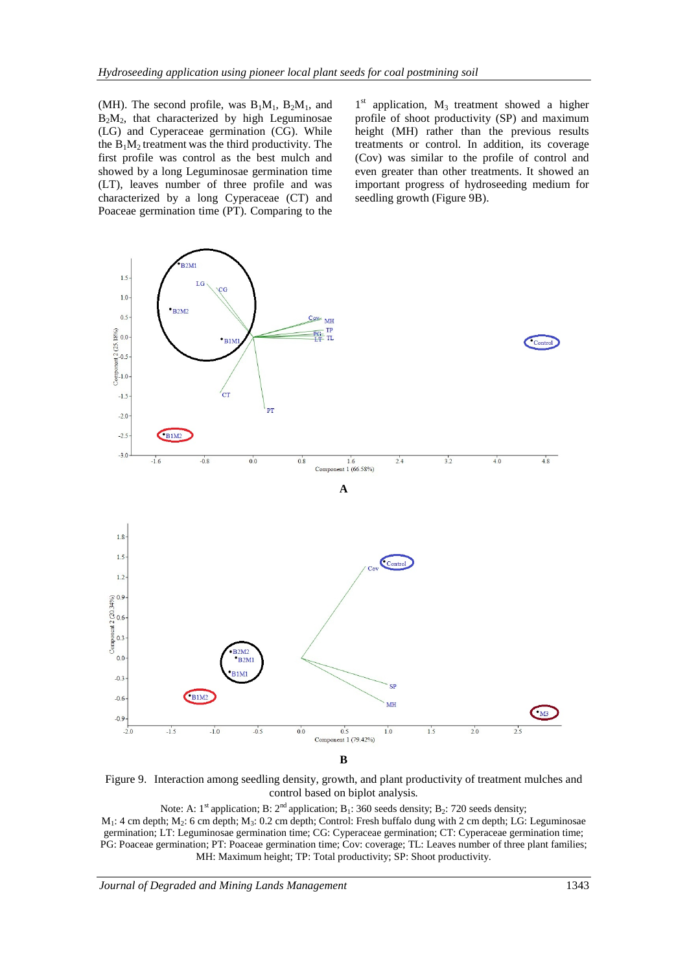(MH). The second profile, was  $B_1M_1$ ,  $B_2M_1$ , and  $B<sub>2</sub>M<sub>2</sub>$ , that characterized by high Leguminosae (LG) and Cyperaceae germination (CG). While the  $B_1M_2$  treatment was the third productivity. The first profile was control as the best mulch and showed by a long Leguminosae germination time (LT), leaves number of three profile and was characterized by a long Cyperaceae (CT) and Poaceae germination time (PT). Comparing to the

1<sup>st</sup> application, M<sub>3</sub> treatment showed a higher profile of shoot productivity (SP) and maximum height (MH) rather than the previous results treatments or control. In addition, its coverage (Cov) was similar to the profile of control and even greater than other treatments. It showed an important progress of hydroseeding medium for seedling growth (Figure 9B).



Figure 9. Interaction among seedling density, growth, and plant productivity of treatment mulches and control based on biplot analysis*.*

Note: A:  $1^{st}$  application; B:  $2^{nd}$  application; B<sub>1</sub>: 360 seeds density; B<sub>2</sub>: 720 seeds density;  $M_1$ : 4 cm depth;  $M_2$ : 6 cm depth;  $M_3$ : 0.2 cm depth; Control: Fresh buffalo dung with 2 cm depth; LG: Leguminosae germination; LT: Leguminosae germination time; CG: Cyperaceae germination; CT: Cyperaceae germination time; PG: Poaceae germination; PT: Poaceae germination time; Cov: coverage; TL: Leaves number of three plant families; MH: Maximum height; TP: Total productivity; SP: Shoot productivity.

*Journal of Degraded and Mining Lands Management* 1343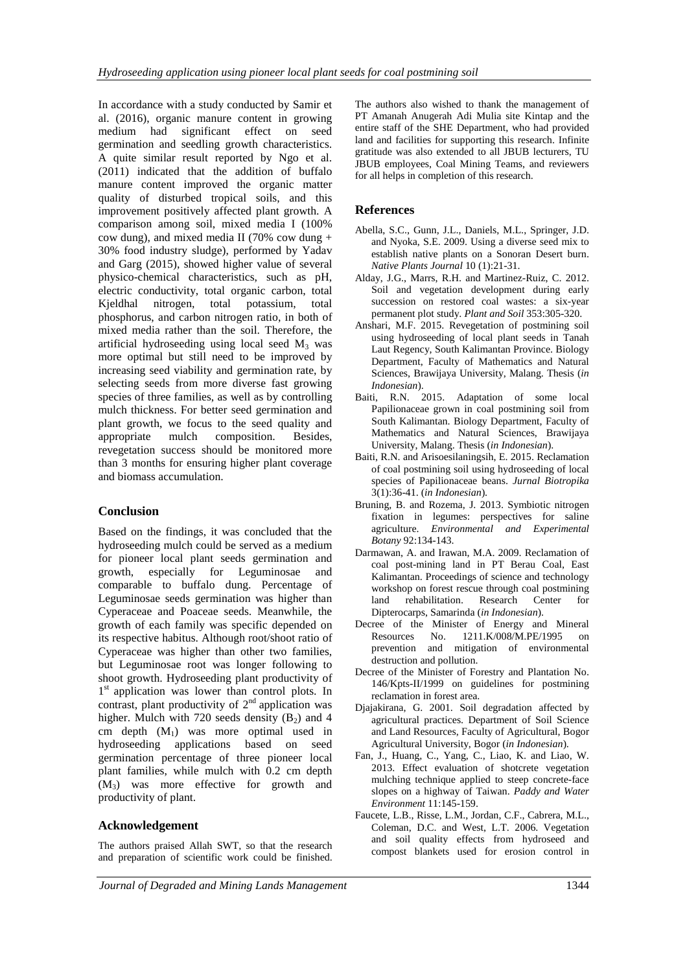In accordance with a study conducted by Samir et al. (2016), organic manure content in growing medium had significant effect on seed germination and seedling growth characteristics. A quite similar result reported by Ngo et al. (2011) indicated that the addition of buffalo manure content improved the organic matter quality of disturbed tropical soils, and this improvement positively affected plant growth. A comparison among soil, mixed media I (100% cow dung), and mixed media II (70% cow dung + 30% food industry sludge), performed by Yadav and Garg (2015), showed higher value of several physico-chemical characteristics, such as pH, electric conductivity, total organic carbon, total Kjeldhal nitrogen, total potassium, total phosphorus, and carbon nitrogen ratio, in both of mixed media rather than the soil. Therefore, the artificial hydroseeding using local seed  $M_3$  was more optimal but still need to be improved by increasing seed viability and germination rate, by selecting seeds from more diverse fast growing species of three families, as well as by controlling mulch thickness. For better seed germination and plant growth, we focus to the seed quality and appropriate mulch composition. Besides, revegetation success should be monitored more than 3 months for ensuring higher plant coverage and biomass accumulation.

## **Conclusion**

Based on the findings, it was concluded that the hydroseeding mulch could be served as a medium for pioneer local plant seeds germination and growth, especially for Leguminosae and comparable to buffalo dung. Percentage of Leguminosae seeds germination was higher than Cyperaceae and Poaceae seeds. Meanwhile, the growth of each family was specific depended on its respective habitus. Although root/shoot ratio of Cyperaceae was higher than other two families, but Leguminosae root was longer following to shoot growth. Hydroseeding plant productivity of 1<sup>st</sup> application was lower than control plots. In contrast, plant productivity of  $2<sup>nd</sup>$  application was higher. Mulch with 720 seeds density  $(B_2)$  and 4 cm depth  $(M_1)$  was more optimal used in hydroseeding applications based on seed germination percentage of three pioneer local plant families, while mulch with 0.2 cm depth (M3) was more effective for growth and productivity of plant.

## **Acknowledgement**

The authors praised Allah SWT, so that the research and preparation of scientific work could be finished. The authors also wished to thank the management of PT Amanah Anugerah Adi Mulia site Kintap and the entire staff of the SHE Department, who had provided land and facilities for supporting this research. Infinite gratitude was also extended to all JBUB lecturers, TU JBUB employees, Coal Mining Teams, and reviewers for all helps in completion of this research.

## **References**

- Abella, S.C., Gunn, J.L., Daniels, M.L., Springer, J.D. and Nyoka, S.E. 2009. Using a diverse seed mix to establish native plants on a Sonoran Desert burn. *Native Plants Journal* 10 (1):21-31.
- Alday, J.G., Marrs, R.H. and Martinez-Ruiz, C. 2012. Soil and vegetation development during early succession on restored coal wastes: a six-year permanent plot study. *Plant and Soil* 353:305-320.
- Anshari, M.F. 2015. Revegetation of postmining soil using hydroseeding of local plant seeds in Tanah Laut Regency, South Kalimantan Province. Biology Department, Faculty of Mathematics and Natural Sciences, Brawijaya University, Malang. Thesis (*in Indonesian*).
- Baiti, R.N. 2015. Adaptation of some local Papilionaceae grown in coal postmining soil from South Kalimantan. Biology Department, Faculty of Mathematics and Natural Sciences, Brawijaya University, Malang. Thesis (*in Indonesian*).
- Baiti, R.N. and Arisoesilaningsih, E. 2015. Reclamation of coal postmining soil using hydroseeding of local species of Papilionaceae beans. *Jurnal Biotropika* 3(1):36-41. (*in Indonesian*).
- Bruning, B. and Rozema, J. 2013. Symbiotic nitrogen fixation in legumes: perspectives for saline agriculture. *Environmental and Experimental Botany* 92:134-143.
- Darmawan, A. and Irawan, M.A. 2009. Reclamation of coal post-mining land in PT Berau Coal, East Kalimantan. Proceedings of science and technology workshop on forest rescue through coal postmining land rehabilitation. Research Center for Dipterocarps, Samarinda (*in Indonesian*).
- Decree of the Minister of Energy and Mineral Resources No. 1211.K/008/M.PE/1995 on prevention and mitigation of environmental destruction and pollution.
- Decree of the Minister of Forestry and Plantation No. 146/Kpts-II/1999 on guidelines for postmining reclamation in forest area.
- Djajakirana, G. 2001. Soil degradation affected by agricultural practices. Department of Soil Science and Land Resources, Faculty of Agricultural, Bogor Agricultural University, Bogor (*in Indonesian*).
- Fan, J., Huang, C., Yang, C., Liao, K. and Liao, W. 2013. Effect evaluation of shotcrete vegetation mulching technique applied to steep concrete-face slopes on a highway of Taiwan. *Paddy and Water Environment* 11:145-159.
- Faucete, L.B., Risse, L.M., Jordan, C.F., Cabrera, M.L., Coleman, D.C. and West, L.T. 2006. Vegetation and soil quality effects from hydroseed and compost blankets used for erosion control in